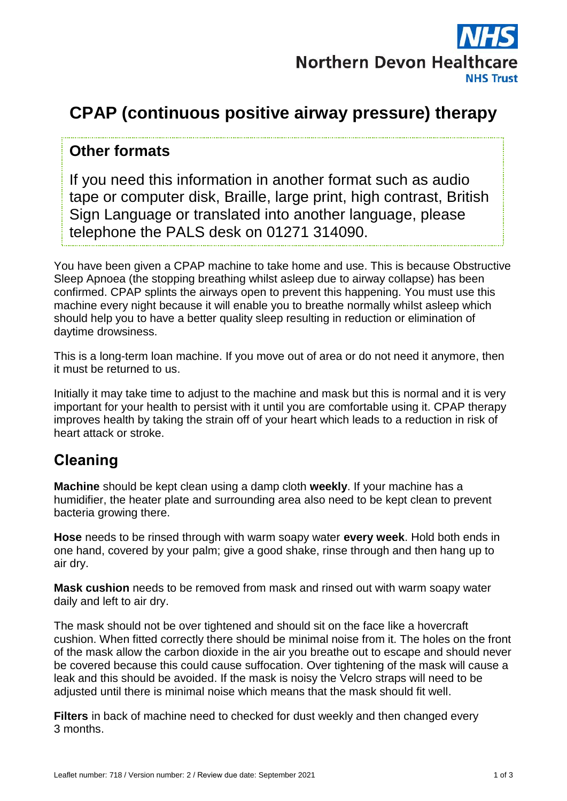

# **CPAP (continuous positive airway pressure) therapy**

#### **Other formats**

If you need this information in another format such as audio tape or computer disk, Braille, large print, high contrast, British Sign Language or translated into another language, please telephone the PALS desk on 01271 314090.

You have been given a CPAP machine to take home and use. This is because Obstructive Sleep Apnoea (the stopping breathing whilst asleep due to airway collapse) has been confirmed. CPAP splints the airways open to prevent this happening. You must use this machine every night because it will enable you to breathe normally whilst asleep which should help you to have a better quality sleep resulting in reduction or elimination of daytime drowsiness.

This is a long-term loan machine. If you move out of area or do not need it anymore, then it must be returned to us.

Initially it may take time to adjust to the machine and mask but this is normal and it is very important for your health to persist with it until you are comfortable using it. CPAP therapy improves health by taking the strain off of your heart which leads to a reduction in risk of heart attack or stroke.

## **Cleaning**

**Machine** should be kept clean using a damp cloth **weekly**. If your machine has a humidifier, the heater plate and surrounding area also need to be kept clean to prevent bacteria growing there.

**Hose** needs to be rinsed through with warm soapy water **every week**. Hold both ends in one hand, covered by your palm; give a good shake, rinse through and then hang up to air dry.

**Mask cushion** needs to be removed from mask and rinsed out with warm soapy water daily and left to air dry.

The mask should not be over tightened and should sit on the face like a hovercraft cushion. When fitted correctly there should be minimal noise from it. The holes on the front of the mask allow the carbon dioxide in the air you breathe out to escape and should never be covered because this could cause suffocation. Over tightening of the mask will cause a leak and this should be avoided. If the mask is noisy the Velcro straps will need to be adjusted until there is minimal noise which means that the mask should fit well.

**Filters** in back of machine need to checked for dust weekly and then changed every 3 months.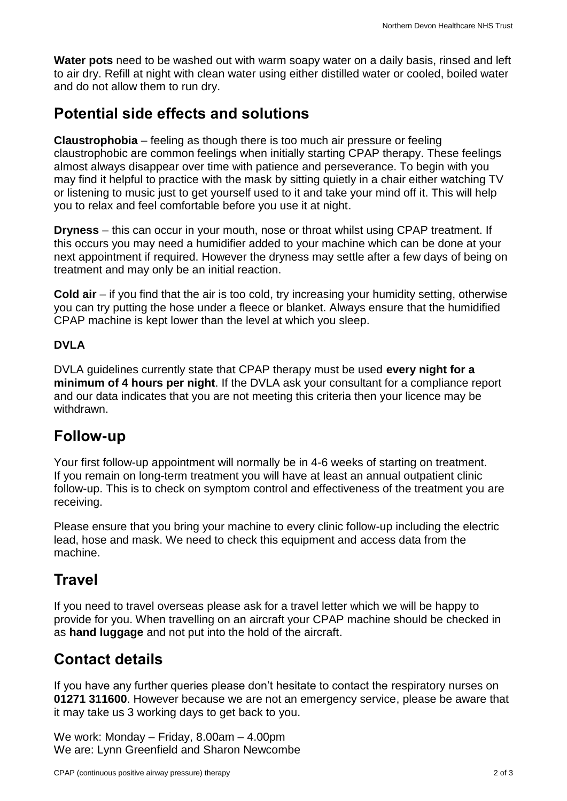**Water pots** need to be washed out with warm soapy water on a daily basis, rinsed and left to air dry. Refill at night with clean water using either distilled water or cooled, boiled water and do not allow them to run dry.

#### **Potential side effects and solutions**

**Claustrophobia** – feeling as though there is too much air pressure or feeling claustrophobic are common feelings when initially starting CPAP therapy. These feelings almost always disappear over time with patience and perseverance. To begin with you may find it helpful to practice with the mask by sitting quietly in a chair either watching TV or listening to music just to get yourself used to it and take your mind off it. This will help you to relax and feel comfortable before you use it at night.

**Dryness** – this can occur in your mouth, nose or throat whilst using CPAP treatment. If this occurs you may need a humidifier added to your machine which can be done at your next appointment if required. However the dryness may settle after a few days of being on treatment and may only be an initial reaction.

**Cold air** – if you find that the air is too cold, try increasing your humidity setting, otherwise you can try putting the hose under a fleece or blanket. Always ensure that the humidified CPAP machine is kept lower than the level at which you sleep.

#### **DVLA**

DVLA guidelines currently state that CPAP therapy must be used **every night for a minimum of 4 hours per night**. If the DVLA ask your consultant for a compliance report and our data indicates that you are not meeting this criteria then your licence may be withdrawn.

#### **Follow-up**

Your first follow-up appointment will normally be in 4-6 weeks of starting on treatment. If you remain on long-term treatment you will have at least an annual outpatient clinic follow-up. This is to check on symptom control and effectiveness of the treatment you are receiving.

Please ensure that you bring your machine to every clinic follow-up including the electric lead, hose and mask. We need to check this equipment and access data from the machine.

## **Travel**

If you need to travel overseas please ask for a travel letter which we will be happy to provide for you. When travelling on an aircraft your CPAP machine should be checked in as **hand luggage** and not put into the hold of the aircraft.

## **Contact details**

If you have any further queries please don't hesitate to contact the respiratory nurses on **01271 311600**. However because we are not an emergency service, please be aware that it may take us 3 working days to get back to you.

We work: Monday – Friday, 8.00am – 4.00pm We are: Lynn Greenfield and Sharon Newcombe